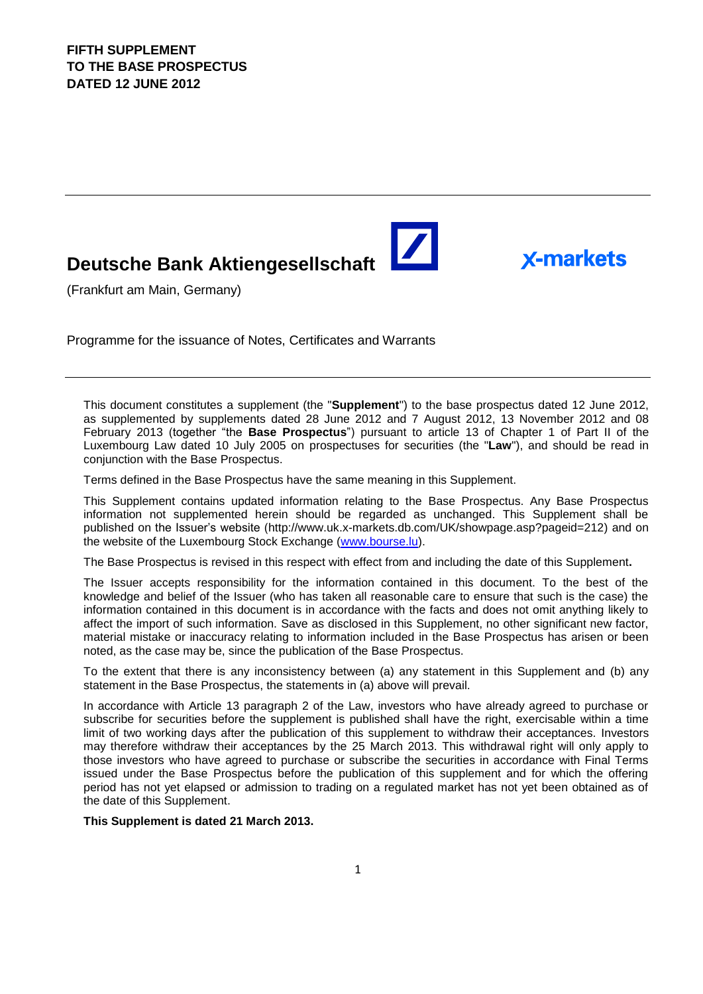## **Deutsche Bank Aktiengesellschaft**

(Frankfurt am Main, Germany)

Programme for the issuance of Notes, Certificates and Warrants

This document constitutes a supplement (the "**Supplement**") to the base prospectus dated 12 June 2012, as supplemented by supplements dated 28 June 2012 and 7 August 2012, 13 November 2012 and 08 February 2013 (together "the **Base Prospectus**") pursuant to article 13 of Chapter 1 of Part II of the Luxembourg Law dated 10 July 2005 on prospectuses for securities (the "**Law**"), and should be read in conjunction with the Base Prospectus.

 $\blacktriangleright$ 

**X-markets** 

Terms defined in the Base Prospectus have the same meaning in this Supplement.

This Supplement contains updated information relating to the Base Prospectus. Any Base Prospectus information not supplemented herein should be regarded as unchanged. This Supplement shall be published on the Issuer's website (http://www.uk.x-markets.db.com/UK/showpage.asp?pageid=212) and on the website of the Luxembourg Stock Exchange (www.bourse.lu).

The Base Prospectus is revised in this respect with effect from and including the date of this Supplement**.**

The Issuer accepts responsibility for the information contained in this document. To the best of the knowledge and belief of the Issuer (who has taken all reasonable care to ensure that such is the case) the information contained in this document is in accordance with the facts and does not omit anything likely to affect the import of such information. Save as disclosed in this Supplement, no other significant new factor, material mistake or inaccuracy relating to information included in the Base Prospectus has arisen or been noted, as the case may be, since the publication of the Base Prospectus.

To the extent that there is any inconsistency between (a) any statement in this Supplement and (b) any statement in the Base Prospectus, the statements in (a) above will prevail.

In accordance with Article 13 paragraph 2 of the Law, investors who have already agreed to purchase or subscribe for securities before the supplement is published shall have the right, exercisable within a time limit of two working days after the publication of this supplement to withdraw their acceptances. Investors may therefore withdraw their acceptances by the 25 March 2013. This withdrawal right will only apply to those investors who have agreed to purchase or subscribe the securities in accordance with Final Terms issued under the Base Prospectus before the publication of this supplement and for which the offering period has not yet elapsed or admission to trading on a regulated market has not yet been obtained as of the date of this Supplement.

**This Supplement is dated 21 March 2013.**